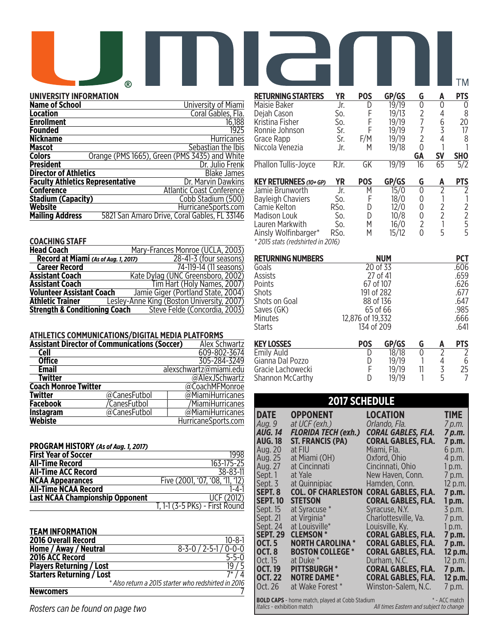# **RETURNING STARTERS YR POS GP/GS G A PTS**

# **UNIVERSITY INFORMATION**

| <b>Name of School</b>                   | University of Miami                           |
|-----------------------------------------|-----------------------------------------------|
| Location                                | Coral Gables, Fla.                            |
| <b>Enrollment</b>                       | 16,188                                        |
| Founded                                 | 1925                                          |
| <b>Nickname</b>                         | <b>Hurricanes</b>                             |
| <b>Mascot</b>                           | Sebastian the Ibis                            |
| <b>Colors</b>                           | Orange (PMS 1665), Green (PMS 3435) and White |
| <b>President</b>                        | Dr. Julio Frenk                               |
| <b>Director of Athletics</b>            | Blake James                                   |
| <b>Faculty Athletics Representative</b> | Dr. Marvin Dawkins                            |
| <b>Conference</b>                       | <b>Atlantic Coast Conference</b>              |
| <b>Stadium (Capacity)</b>               | Cobb Stadium (500)                            |
| Website                                 | HurricaneSports.com                           |
| <b>Mailing Address</b>                  | 5821 San Amaro Drive, Coral Gables, FL 33146  |

## **COACHING STAFF**

| <b>Head Coach</b>                        | Mary-Frances Monroe (UCLA, 2003)           |
|------------------------------------------|--------------------------------------------|
| Record at Miami (As of Aug. 1, 2017)     | 28-41-3 (four seasons)                     |
| <b>Career Record</b>                     | 74-119-14 (11 seasons)                     |
| <b>Assistant Coach</b>                   | Kate Dylag (UNC Greensboro, 2002)          |
| <b>Assistant Coach</b>                   | Tim Hart (Holy Names, 2007)                |
| <b>Volunteer Assistant Coach</b>         | Jamie Giger (Portland State, 2004)         |
| <b>Athletic Trainer</b>                  | Lesley-Anne King (Boston University, 2007) |
| <b>Strength &amp; Conditioning Coach</b> | Steve Felde (Concordia, 2003)              |

## **ATHLETICS COMMUNICATIONS/DIGITAL MEDIA PLATFORMS**

| <b>Assistant Director of Communications (Soccer)</b> |              | <b>Alex Schwartz</b>   |
|------------------------------------------------------|--------------|------------------------|
| <b>Cell</b>                                          |              | 609-802-3674           |
| <b>Office</b>                                        |              | 305-284-3249           |
| <b>Email</b>                                         |              | alexschwartz@miami.edu |
| Twitter                                              |              | @AlexJSchwartz         |
| <b>Coach Monroe Twitter</b>                          |              | @CoachMFMonroe         |
| <b>Twitter</b>                                       | @CanesFutbol | @MiamiHurricanes       |
| <b>Facebook</b>                                      | /CanesFutbol | /MiamiHurricanes       |
| <b>Instagram</b>                                     | @CanesFutbol | @MiamiHurricanes       |
| <b>Webiste</b>                                       |              | HurricaneSports.com    |

| PROGRAM HISTORY (As of Aug. 1, 2017)   |                                 |
|----------------------------------------|---------------------------------|
| <b>First Year of Soccer</b>            | 1998                            |
| <b>All-Time Record</b>                 | 163-175-25                      |
| <b>All-Time ACC Record</b>             | 38-83-11                        |
| <b>NCAA Appearances</b>                | Five (2001, '07, '08, '11, '12) |
| <b>All-Time NCAA Record</b>            | 1-4-1                           |
| <b>Last NCAA Championship Opponent</b> | UCF (2012)                      |
|                                        | T, 1-1 (3-5 PKs) - First Round  |

| <b>TEAM INFORMATION</b>          |                                                     |
|----------------------------------|-----------------------------------------------------|
| <b>2016 Overall Record</b>       | $10 - 8 - 1$                                        |
| Home / Away / Neutral            | $8 - 3 - 0 / 2 - 5 - 1 / 0 - 0 - 0$                 |
| 2016 ACC Record                  | $5 - 5 - 0$                                         |
| <b>Players Returning / Lost</b>  | 19 / 5                                              |
| <b>Starters Returning / Lost</b> | $7^{*}/4$                                           |
|                                  | * Also return a 2015 starter who redshirted in 2016 |
| <b>Newcomers</b>                 |                                                     |

*Rosters can be found on page two*

|                                                           |                   |            |       |                |                | ТM              |
|-----------------------------------------------------------|-------------------|------------|-------|----------------|----------------|-----------------|
| <b>RETURNING STARTERS</b>                                 | ΥR                | <b>POS</b> | GP/GS | G              | A              | PTS             |
| Maisie Baker                                              | Jr.               | D          | 19/19 | 0              | N              | 0               |
| Dejah Cason                                               | So.               | F          | 19/13 | 2              | 4              | 8               |
| Kristina Fisher                                           | So.               | F          | 19/19 |                | 6              | 20              |
| Ronnie Johnson                                            | Sr.               | F          | 19/19 |                | 3              | 17              |
| Grace Rapp                                                | Sr.               | F/M        | 19/19 | 2              | 4              | 8               |
| Niccola Venezia                                           | Jr.               | М          | 19/18 | 0              |                |                 |
|                                                           |                   |            |       | <b>GA</b>      | <b>SV</b>      | SH <sub>0</sub> |
| <b>Phallon Tullis-Joyce</b>                               | RJr.              | GK         | 19/19 | 16             | 65             | $\sqrt{5/2}$    |
| <b>KEY RETURNEES (10+ GP)</b>                             | <b>YR</b>         | <b>POS</b> | GP/GS | G              | A              | <b>PTS</b>      |
| Jamie Brunworth                                           | Jr.               | М          | 15/0  | 0              | $\mathcal{P}$  | 2               |
| Bayleigh Chaviers                                         | So.               | F          | 18/0  | 0              |                |                 |
| Camie Kelton                                              | RSo.              | D          | 12/0  | 0              |                | 2               |
| Madison Louk                                              | So.               | D          | 10/8  | 0              | $\overline{2}$ | $\overline{2}$  |
| Lauren Markwith                                           | So.               | М          | 16/0  | $\overline{2}$ |                | 5               |
| Ainsly Wolfinbarger*<br>* 2015 stats (redshirted in 2016) | RS <sub>O</sub> . | М          | 15/12 | 0              | 5              | 5               |

| <b>RETURNING NUMBERS</b> | <b>NUM</b>       |                | <b>PCT</b> |               |            |
|--------------------------|------------------|----------------|------------|---------------|------------|
| Goals                    |                  | 20 of 33       |            |               | .606       |
| Assists                  |                  | 27 of 41       |            |               | .659       |
| Points                   | 67 of 107        |                |            |               | .626       |
| Shots                    | 191 of 282       |                |            |               | .677       |
| Shots on Goal            | 88 of 136        |                |            |               | .647       |
| Saves (GK)               |                  | 65 of 66       |            |               | .985       |
| Minutes                  | 12,876 of 19,332 |                |            |               | .666       |
| Starts                   | 134 of 209       |                | .641       |               |            |
| <b>KEY LOSSES</b>        | <b>POS</b>       | GP/GS          | G          | A             | <b>PTS</b> |
| <b>Emily Auld</b>        | D                | 18/18          | 0          | $\mathcal{P}$ | 2          |
| Gianna Dal Pozzo         | D                | 19/19<br>19/19 |            | 4             | 6          |
| Gracie Lachowecki        | F                | 3              | 25         |               |            |
| Shannon McCarthy         | D                | 19/19          |            | 5             |            |

| <b>2017 SCHEDULE</b>             |                                                                                                                                                 |                                                        |                       |  |  |  |
|----------------------------------|-------------------------------------------------------------------------------------------------------------------------------------------------|--------------------------------------------------------|-----------------------|--|--|--|
| <b>DATE</b><br>Aug. 9            | <b>OPPONENT</b><br>at UCF (exh.)                                                                                                                | LOCATION<br>Orlando, Fla.                              | <b>TIME</b><br>7 p.m. |  |  |  |
| <b>AUG. 14</b><br><b>AUG. 18</b> | <b>FLORIDA TECH (exh.)</b><br>ST. FRANCIS (PA)                                                                                                  | CORAL GABLES, FLA.<br><b>CORAL GABLES, FLA.</b>        | 7 p.m.<br>7 p.m.      |  |  |  |
| Aug. 20                          | at FIU                                                                                                                                          | Miami, Fla.                                            | 6 p.m.                |  |  |  |
| Aug. 25                          | at Miami (OH)                                                                                                                                   | Oxford, Ohio                                           | 4 p.m.                |  |  |  |
| Aug. 27                          | at Cincinnati                                                                                                                                   | Cincinnati, Ohio                                       | 1 p.m.                |  |  |  |
| Sept. 1                          | at Yale                                                                                                                                         | New Haven, Conn.                                       | 7 p.m.                |  |  |  |
| Sept. 3                          | at Quinnipiac                                                                                                                                   | Hamden, Conn.                                          | 12 p.m.               |  |  |  |
| SEPT. 8<br><b>SEPT. 10</b>       | <b>COL. OF CHARLESTON</b><br><b>STETSON</b>                                                                                                     | <b>CORAL GABLES, FLA.</b><br><b>CORAL GABLES, FLA.</b> | 7 p.m.<br>1 p.m.      |  |  |  |
| Sept. 15                         | at Syracuse *                                                                                                                                   | Syracuse, N.Y.                                         | 3 p.m.                |  |  |  |
| Sept. 21                         | at Virginia*                                                                                                                                    | Charlottesville, Va.                                   | 7 p.m.                |  |  |  |
| Sept. 24                         | at Louisville*                                                                                                                                  | Louisville, Ky.                                        | 1 p.m.                |  |  |  |
| <b>SEPT. 29</b>                  | <b>CLEMSON *</b>                                                                                                                                | <b>CORAL GABLES, FLA.</b>                              | 7 p.m.                |  |  |  |
| <b>OCT. 5</b>                    | <b>NORTH CAROLINA *</b>                                                                                                                         | <b>CORAL GABLES, FLA.</b>                              | 7 p.m.                |  |  |  |
| <b>OCT.8</b><br>Oct. 15          | <b>BOSTON COLLEGE *</b><br>at Duke *                                                                                                            | <b>CORAL GABLES, FLA.</b><br>Durham, N.C.              | 12 p.m.               |  |  |  |
| <b>OCT. 19</b>                   | <b>PITTSBURGH *</b>                                                                                                                             | <b>CORAL GABLES, FLA.</b>                              | 12 p.m.<br>7 p.m.     |  |  |  |
| <b>OCT. 22</b>                   | <b>NOTRE DAME *</b>                                                                                                                             | <b>CORAL GABLES, FLA.</b>                              | 12 p.m.               |  |  |  |
| Oct. 26                          | at Wake Forest*                                                                                                                                 | Winston-Salem, N.C.                                    | 7 p.m.                |  |  |  |
|                                  | * - ACC match<br><b>BOLD CAPS</b> - home match, played at Cobb Stadium<br>Italics - exhibition match<br>All times Eastern and subject to change |                                                        |                       |  |  |  |